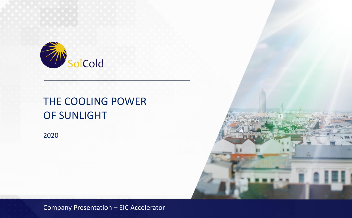

# THE COOLING POWER OF SUNLIGHT

2020

**Company Presentation – EIC Accelerator**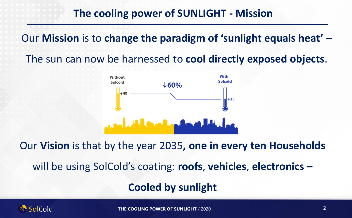# **The cooling power of SUNLIGHT - Mission**

Our **Mission** is to **change the paradigm of 'sunlight equals heat' –**

The sun can now be harnessed to **cool directly exposed objects**.



Our **Vision** is that by the year 2035**, one in every ten Households**  will be using SolCold's coating: **roofs**, **vehicles**, **electronics – Cooled by sunlight**

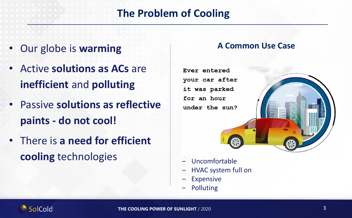# **The Problem of Cooling**

- Our globe is **warming**
- Active **solutions as ACs** are **inefficient** and **polluting**
- Passive **solutions as reflective paints - do not cool!**
- There is **a need for efficient cooling** technologies

### **A Common Use Case**



- ‒ Uncomfortable
- ‒ HVAC system full on
- **Expensive**
- **Polluting**

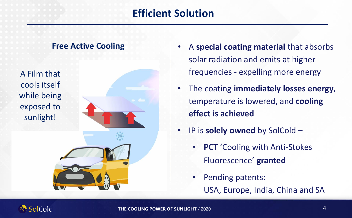# **Efficient Solution**



- A **special coating material** that absorbs solar radiation and emits at higher frequencies - expelling more energy
- The coating **immediately losses energy**, temperature is lowered, and **cooling effect is achieved**
- IP is **solely owned** by SolCold **–**
	- **PCT** 'Cooling with Anti-Stokes' Fluorescence' **granted** 
		- Pending patents: USA, Europe, India, China and SA

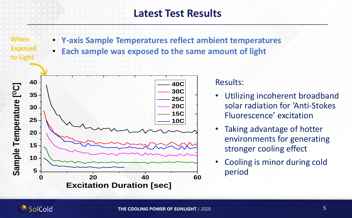### **Latest Test Results**

**When Exposed to Light**

- **Y-axis Sample Temperatures reflect ambient temperatures**
- **Each sample was exposed to the same amount of light**



### Results:

- Utilizing incoherent broadband solar radiation for 'Anti-Stokes Fluorescence' excitation
- Taking advantage of hotter environments for generating stronger cooling effect
- Cooling is minor during cold period

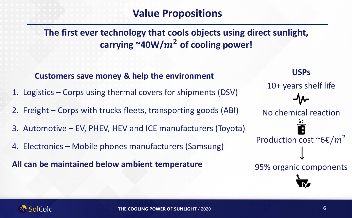## **Value Propositions**

**The first ever technology that cools objects using direct sunlight,**  carrying  $\sim$ 40W/ $m^2$  of cooling power!

**USPs** 10+ years shelf life No chemical reaction Production cost ~6 $\epsilon/m^2$ 95% organic components **Customers save money & help the environment**  1. Logistics – Corps using thermal covers for shipments (DSV) 2. Freight – Corps with trucks fleets, transporting goods (ABI) 3. Automotive – EV, PHEV, HEV and ICE manufacturers (Toyota) 4. Electronics – Mobile phones manufacturers (Samsung) **All can be maintained below ambient temperature**

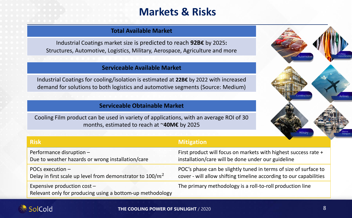# **Markets & Risks**

### **Total Available Market**

Industrial Coatings market size is predicted to reach **92B€** by 2025**:** Structures, Automotive, Logistics, Military, Aerospace, Agriculture and more

#### **Serviceable Available Market**

Industrial Coatings for cooling/isolation is estimated at **22B€** by 2022 with increased demand for solutions to both logistics and automotive segments (Source: Medium)

### **Serviceable Obtainable Market**

Cooling Film product can be used in variety of applications, with an average ROI of 30 months, estimated to reach at ~**40M€** by 2025



| <b>Risk</b>                                                                              | <b>Mitigation</b>                                                  |
|------------------------------------------------------------------------------------------|--------------------------------------------------------------------|
| Performance disruption -                                                                 | First product will focus on markets with highest success rate +    |
| Due to weather hazards or wrong installation/care                                        | installation/care will be done under our guideline                 |
| POCs execution $-$                                                                       | POC's phase can be slightly tuned in terms of size of surface to   |
| Delay in first scale up level from demonstrator to $100/m^2$                             | cover - will allow shifting timeline according to our capabilities |
| Expensive production cost -<br>Relevant only for producing using a bottom-up methodology | The primary methodology is a roll-to-roll production line          |

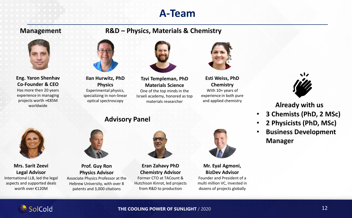### **A-Team**

### **Management**

### **R&D – Physics, Materials & Chemistry**



#### **Eng. Yaron Shenhav Co-Founder & CEO**

Has more then 20 years experience in managing projects worth +€85M worldwide



**Ilan Hurwitz, PhD Physics** Experimental physics, specializing in non-linear optical spectroscopy

**Advisory Panel**



**Tzvi Templeman, PhD Materials Science** One of the top minds in the

Israeli academy, honored as top materials researcher



**Esti Weiss, PhD Chemistry** With 10+ years of experience in both pure and applied chemistry



**Already with us**

- **3 Chemists (PhD, 2 MSc)**
- **2 Physicists (PhD, MSc)**
- **Business Development Manager**



**Mrs. Sarit Zeevi Legal Advisor** International LLB, led the legal aspects and supported deals worth over €120M



**Prof. Guy Ron Physics Advisor** Associate Physics Professor at the Hebrew University, with over 8 patents and 3,000 citations



**Eran Zahavy PhD Chemistry Advisor** Former CTO at TACount & Hutchison Kinrot, led projects from R&D to production



**Mr. Eyal Agmoni, BizDev Advisor** Founder and President of a multi million VC, invested in dozens of projects globally